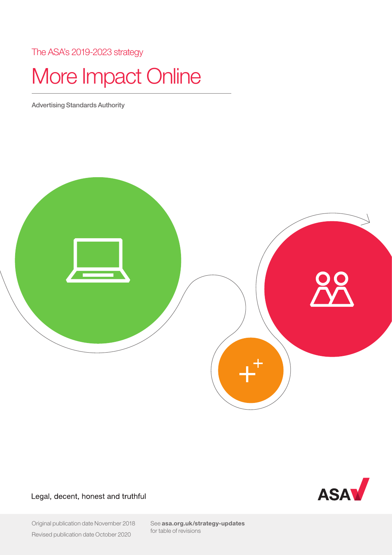The ASA's 2019-2023 strategy

# More Impact Online

Advertising Standards Authority



Legal, decent, honest and truthful



Original publication date November 2018 Revised publication date October 2020

See [asa.org.uk/strategy-updates](https://www.asa.org.uk/strategy-updates/) for table of revisions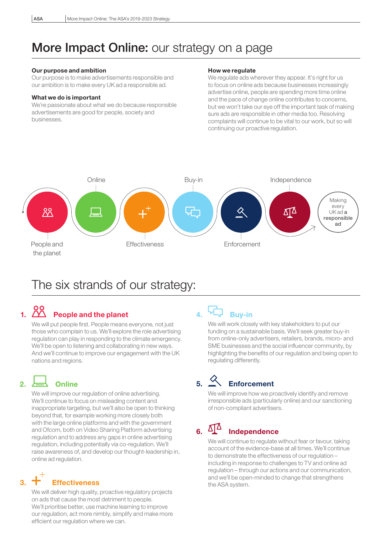## More Impact Online: our strategy on a page

#### Our purpose and ambition

 Our purpose is to make advertisements responsible and our ambition is to make every UK ad a responsible ad.

#### What we do is important

 We're passionate about what we do because responsible advertisements are good for people, society and businesses.

#### How we regulate

We regulate ads wherever they appear. It's right for us to focus on online ads because businesses increasingly advertise online, people are spending more time online and the pace of change online contributes to concerns, but we won't take our eye off the important task of making sure ads are responsible in other media too. Resolving complaints will continue to be vital to our work, but so will continuing our proactive regulation.



## The six strands of our strategy:

# 1. People and the planet

We will put people first. People means everyone, not just those who complain to us. We'll explore the role advertising regulation can play in responding to the climate emergency. We'll be open to listening and collaborating in new ways. And we'll continue to improve our engagement with the UK nations and regions.

### 2.  $\overline{\phantom{a}}$  Online

We will improve our regulation of online advertising. We'll continue to focus on misleading content and inappropriate targeting, but we'll also be open to thinking beyond that, for example working more closely both with the large online platforms and with the government and Ofcom, both on Video Sharing Platform advertising regulation and to address any gaps in online advertising regulation, including potentially via co-regulation. We'll raise awareness of, and develop our thought-leadership in, online ad regulation.

# 3. Effectiveness

 We will deliver high quality, proactive regulatory projects on ads that cause the most detriment to people. We'll prioritise better, use machine learning to improve our regulation, act more nimbly, simplify and make more efficient our regulation where we can.

### 4. A Buy-in

 We will work closely with key stakeholders to put our funding on a sustainable basis. We'll seek greater buy-in from online-only advertisers, retailers, brands, micro- and SME businesses and the social influencer community, by highlighting the benefits of our regulation and being open to regulating differently.

# 5. Enforcement

 We will improve how we proactively identify and remove irresponsible ads (particularly online) and our sanctioning of non-compliant advertisers.

## 6.  $\Delta\Delta$  Independence

 We will continue to regulate without fear or favour, taking account of the evidence-base at all times. We'll continue to demonstrate the effectiveness of our regulation – including in response to challenges to TV and online ad regulation – through our actions and our communication, and we'll be open-minded to change that strengthens the ASA system.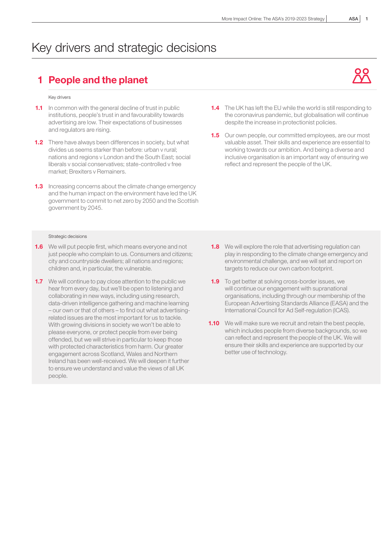## Key drivers and strategic decisions

### 1 People and the planet

#### Key drivers

- **1.1** In common with the general decline of trust in public institutions, people's trust in and favourability towards advertising are low. Their expectations of businesses and regulators are rising.
- **1.2** There have always been differences in society, but what divides us seems starker than before: urban v rural; nations and regions v London and the South East; social liberals v social conservatives; state-controlled v free market; Brexiters v Remainers.
- **1.3** Increasing concerns about the climate change emergency and the human impact on the environment have led the UK government to commit to net zero by 2050 and the Scottish government by 2045.

- **1.6** We will put people first, which means everyone and not just people who complain to us. Consumers and citizens; city and countryside dwellers; all nations and regions; children and, in particular, the vulnerable.
- **1.7** We will continue to pay close attention to the public we hear from every day, but we'll be open to listening and collaborating in new ways, including using research, data-driven intelligence gathering and machine learning – our own or that of others – to find out what advertisingrelated issues are the most important for us to tackle. With growing divisions in society we won't be able to please everyone, or protect people from ever being offended, but we will strive in particular to keep those with protected characteristics from harm. Our greater engagement across Scotland, Wales and Northern Ireland has been well-received. We will deepen it further to ensure we understand and value the views of all UK people.
- **1.4** The UK has left the EU while the world is still responding to the coronavirus pandemic, but globalisation will continue despite the increase in protectionist policies.
- **1.5** Our own people, our committed employees, are our most valuable asset. Their skills and experience are essential to working towards our ambition. And being a diverse and inclusive organisation is an important way of ensuring we reflect and represent the people of the UK.

- **1.8** We will explore the role that advertising regulation can play in responding to the climate change emergency and environmental challenge, and we will set and report on targets to reduce our own carbon footprint.
- **1.9** To get better at solving cross-border issues, we will continue our engagement with supranational organisations, including through our membership of the European Advertising Standards Alliance (EASA) and the International Council for Ad Self-regulation (ICAS).
- **1.10** We will make sure we recruit and retain the best people. which includes people from diverse backgrounds, so we can reflect and represent the people of the UK. We will ensure their skills and experience are supported by our better use of technology.

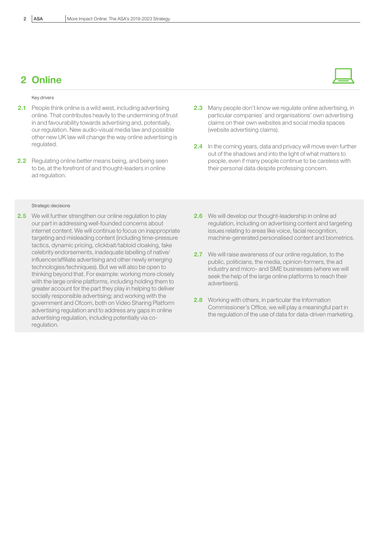### 2 Online

#### Key drivers

- **2.1** People think online is a wild west, including advertising online. That contributes heavily to the undermining of trust in and favourability towards advertising and, potentially, our regulation. New audio-visual media law and possible other new UK law will change the way online advertising is regulated.
- 2.2 Regulating online better means being, and being seen to be, at the forefront of and thought-leaders in online ad regulation.

#### Strategic decisions

**2.5** We will further strengthen our online regulation to play our part in addressing well-founded concerns about internet content. We will continue to focus on inappropriate targeting and misleading content (including time-pressure tactics, dynamic pricing, clickbait/tabloid cloaking, fake celebrity endorsements, inadequate labelling of native/ influencer/affiliate advertising and other newly emerging technologies/techniques). But we will also be open to thinking beyond that. For example: working more closely with the large online platforms, including holding them to greater account for the part they play in helping to deliver socially responsible advertising; and working with the government and Ofcom, both on Video Sharing Platform advertising regulation and to address any gaps in online advertising regulation, including potentially via coregulation.

- 2.3 Many people don't know we regulate online advertising, in particular companies' and organisations' own advertising claims on their own websites and social media spaces (website advertising claims).
- 2.4 In the coming years, data and privacy will move even further out of the shadows and into the light of what matters to people, even if many people continue to be careless with their personal data despite professing concern.
- 2.6 We will develop our thought-leadership in online ad regulation, including on advertising content and targeting issues relating to areas like voice, facial recognition, machine-generated personalised content and biometrics.
- **2.7** We will raise awareness of our online regulation, to the public, politicians, the media, opinion-formers, the ad industry and micro- and SME businesses (where we will seek the help of the large online platforms to reach their advertisers).
- 2.8 Working with others, in particular the Information Commissioner's Office, we will play a meaningful part in the regulation of the use of data for data-driven marketing.

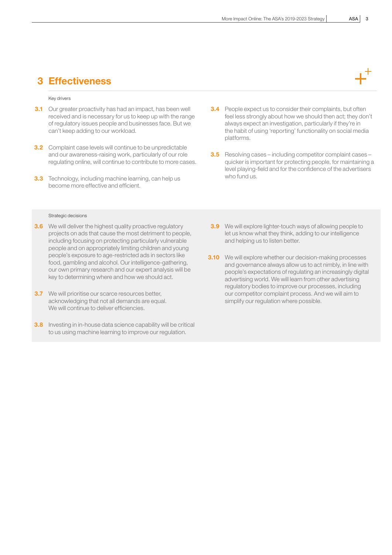### 3 Effectiveness

#### Key drivers

- **3.1** Our greater proactivity has had an impact, has been well received and is necessary for us to keep up with the range of regulatory issues people and businesses face. But we can't keep adding to our workload.
- **3.2** Complaint case levels will continue to be unpredictable and our awareness-raising work, particularly of our role regulating online, will continue to contribute to more cases.
- **3.3** Technology, including machine learning, can help us become more effective and efficient.

- **3.6** We will deliver the highest quality proactive regulatory projects on ads that cause the most detriment to people, including focusing on protecting particularly vulnerable people and on appropriately limiting children and young people's exposure to age-restricted ads in sectors like food, gambling and alcohol. Our intelligence-gathering, our own primary research and our expert analysis will be key to determining where and how we should act.
- **3.7** We will prioritise our scarce resources better, acknowledging that not all demands are equal. We will continue to deliver efficiencies.
- **3.8** Investing in in-house data science capability will be critical to us using machine learning to improve our regulation.
- **3.4** People expect us to consider their complaints, but often feel less strongly about how we should then act; they don't always expect an investigation, particularly if they're in the habit of using 'reporting' functionality on social media platforms.
- 3.5 Resolving cases including competitor complaint cases quicker is important for protecting people, for maintaining a level playing-field and for the confidence of the advertisers who fund us.
- **3.9** We will explore lighter-touch ways of allowing people to let us know what they think, adding to our intelligence and helping us to listen better.
- **3.10** We will explore whether our decision-making processes and governance always allow us to act nimbly, in line with people's expectations of regulating an increasingly digital advertising world. We will learn from other advertising regulatory bodies to improve our processes, including our competitor complaint process. And we will aim to simplify our regulation where possible.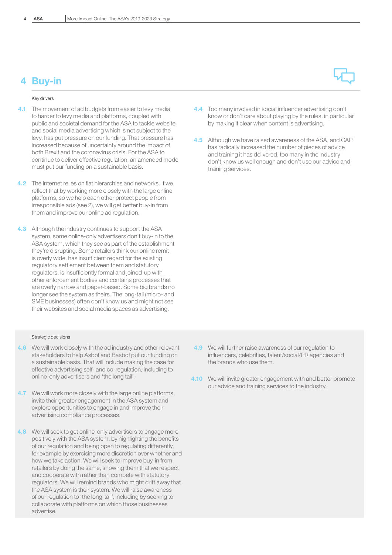### 4 Buy-in

#### Key drivers

- **4.1** The movement of ad budgets from easier to levy media to harder to levy media and platforms, coupled with public and societal demand for the ASA to tackle website and social media advertising which is not subject to the levy, has put pressure on our funding. That pressure has increased because of uncertainty around the impact of both Brexit and the coronavirus crisis. For the ASA to continue to deliver effective regulation, an amended model must put our funding on a sustainable basis.
- 4.2 The Internet relies on flat hierarchies and networks. If we reflect that by working more closely with the large online platforms, so we help each other protect people from irresponsible ads (see 2), we will get better buy-in from them and improve our online ad regulation.
- 4.3 Although the industry continues to support the ASA system, some online-only advertisers don't buy-in to the ASA system, which they see as part of the establishment they're disrupting. Some retailers think our online remit is overly wide, has insufficient regard for the existing regulatory settlement between them and statutory regulators, is insufficiently formal and joined-up with other enforcement bodies and contains processes that are overly narrow and paper-based. Some big brands no longer see the system as theirs. The long-tail (micro- and SME businesses) often don't know us and might not see their websites and social media spaces as advertising.

- 4.6 We will work closely with the ad industry and other relevant stakeholders to help Asbof and Basbof put our funding on a sustainable basis. That will include making the case for effective advertising self- and co-regulation, including to online-only advertisers and 'the long tail'.
- **4.7** We will work more closely with the large online platforms, invite their greater engagement in the ASA system and explore opportunities to engage in and improve their advertising compliance processes.
- 4.8 We will seek to get online-only advertisers to engage more positively with the ASA system, by highlighting the benefits of our regulation and being open to regulating differently, for example by exercising more discretion over whether and how we take action. We will seek to improve buy-in from retailers by doing the same, showing them that we respect and cooperate with rather than compete with statutory regulators. We will remind brands who might drift away that the ASA system is their system. We will raise awareness of our regulation to 'the long-tail', including by seeking to collaborate with platforms on which those businesses advertise.



- 4.4 Too many involved in social influencer advertising don't know or don't care about playing by the rules, in particular by making it clear when content is advertising.
- 4.5 Although we have raised awareness of the ASA, and CAP has radically increased the number of pieces of advice and training it has delivered, too many in the industry don't know us well enough and don't use our advice and training services.

- 4.9 We will further raise awareness of our regulation to influencers, celebrities, talent/social/PR agencies and the brands who use them.
- **4.10** We will invite greater engagement with and better promote our advice and training services to the industry.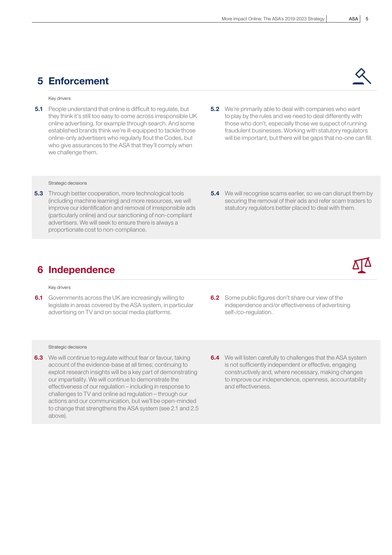### 5 Enforcement

#### Key drivers

- **5.1** People understand that online is difficult to regulate, but they think it's still too easy to come across irresponsible UK online advertising, for example through search. And some established brands think we're ill-equipped to tackle those online-only advertisers who regularly flout the Codes, but who give assurances to the ASA that they'll comply when we challenge them.
- **5.2** We're primarily able to deal with companies who want to play by the rules and we need to deal differently with those who don't, especially those we suspect of running fraudulent businesses. Working with statutory regulators will be important, but there will be gaps that no-one can fill.

#### Strategic decisions

- **5.3** Through better cooperation, more technological tools (including machine learning) and more resources, we will improve our identification and removal of irresponsible ads (particularly online) and our sanctioning of non-compliant advertisers. We will seek to ensure there is always a proportionate cost to non-compliance.
- **5.4** We will recognise scams earlier, so we can disrupt them by securing the removal of their ads and refer scam traders to statutory regulators better placed to deal with them.

### 6 Independence

#### Key drivers

**6.1** Governments across the UK are increasingly willing to legislate in areas covered by the ASA system, in particular advertising on TV and on social media platforms.

- **6.3** We will continue to regulate without fear or favour, taking account of the evidence-base at all times; continuing to exploit research insights will be a key part of demonstrating our impartiality. We will continue to demonstrate the effectiveness of our regulation – including in response to challenges to TV and online ad regulation – through our actions and our communication, but we'll be open-minded to change that strengthens the ASA system (see 2.1 and 2.5 above).
- **6.2** Some public figures don't share our view of the independence and/or effectiveness of advertising self-/co-regulation.
- **6.4** We will listen carefully to challenges that the ASA system is not sufficiently independent or effective, engaging constructively and, where necessary, making changes to improve our independence, openness, accountability and effectiveness.

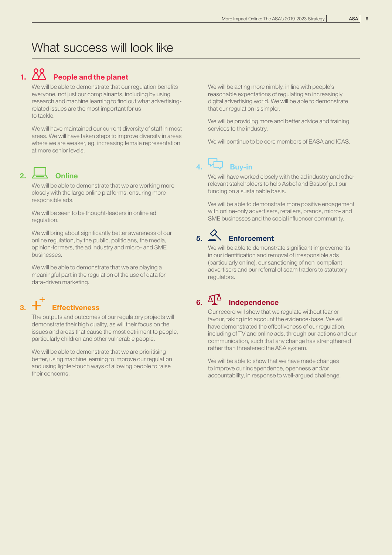### What success will look like

# 1. 20<br>1. **People and the planet**

 We will be able to demonstrate that our regulation benefits everyone, not just our complainants, including by using research and machine learning to find out what advertisingrelated issues are the most important for us to tackle.

 We will have maintained our current diversity of staff in most areas. We will have taken steps to improve diversity in areas where we are weaker, eg. increasing female representation at more senior levels.

### 2.  $\leftarrow$  Online

 We will be able to demonstrate that we are working more closely with the large online platforms, ensuring more responsible ads.

 We will be seen to be thought-leaders in online ad regulation.

 We will bring about significantly better awareness of our online regulation, by the public, politicians, the media, opinion-formers, the ad industry and micro- and SME businesses.

 We will be able to demonstrate that we are playing a meaningful part in the regulation of the use of data for data-driven marketing.

# $3.$   $+$  Effectiveness

 The outputs and outcomes of our regulatory projects will demonstrate their high quality, as will their focus on the issues and areas that cause the most detriment to people, particularly children and other vulnerable people.

We will be able to demonstrate that we are prioritising better, using machine learning to improve our regulation and using lighter-touch ways of allowing people to raise their concerns.

 We will be acting more nimbly, in line with people's reasonable expectations of regulating an increasingly digital advertising world. We will be able to demonstrate that our regulation is simpler.

 We will be providing more and better advice and training services to the industry.

We will continue to be core members of EASA and ICAS.

# 4. Wy Buy-in

 We will have worked closely with the ad industry and other relevant stakeholders to help Asbof and Basbof put our funding on a sustainable basis.

 We will be able to demonstrate more positive engagement with online-only advertisers, retailers, brands, micro- and SME businesses and the social influencer community.

# 5. Enforcement

We will be able to demonstrate significant improvements in our identification and removal of irresponsible ads (particularly online), our sanctioning of non-compliant advertisers and our referral of scam traders to statutory regulators.

### 6.  $\Delta \mathbf{I}^{\Delta}$  Independence

 Our record will show that we regulate without fear or favour, taking into account the evidence-base. We will have demonstrated the effectiveness of our regulation, including of TV and online ads, through our actions and our communication, such that any change has strengthened rather than threatened the ASA system.

 We will be able to show that we have made changes to improve our independence, openness and/or accountability, in response to well-argued challenge.